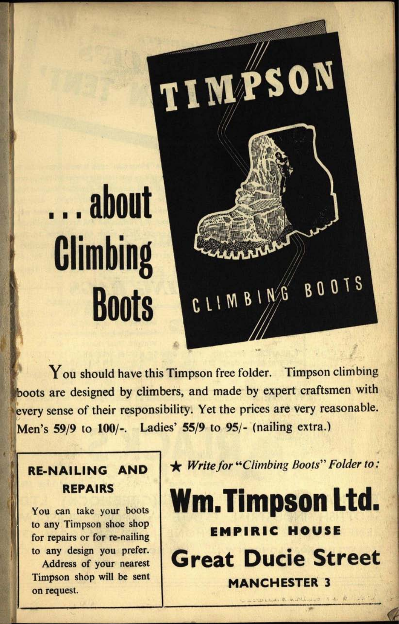# .,, about **Climbing Boots**

You should have this Timpson free folder. Timpson climbing boots are designed by climbers, and made by expert craftsmen with every sense of their responsibility. Yet the prices are very reasonable. Men's **59/9** to 100/-. Ladies' 55/9 to 95/- (nailing extra.)

#### **RE-NAILING AND REPAIRS**

You can take your boots to any Timpson shoe shop for repairs or for re-nailing to any design you prefer.

Address of your nearest Timpson shop will be sent on request.

\* *Write for "Climbing Boots" Folder to:*

CLIMBING BOOTS

TIMPSON

**Wm.Timpson Ltd. EMPIRIC HOUSE Great Ducie Street MANCHESTER 3**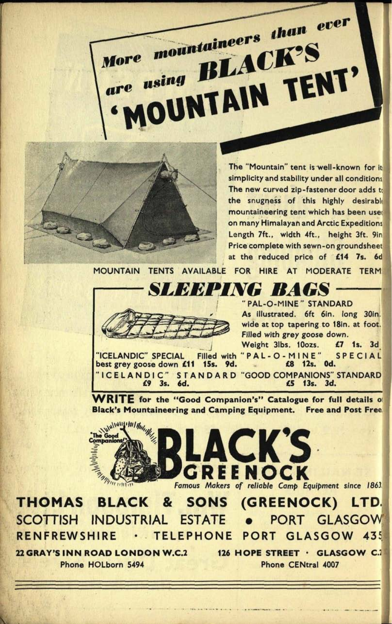

are

The "Mountain" tent is well-known for it simplicity and stability under all conditions The new curved zip-fastener door adds to the snugness of this highly desirable mountaineering tent which has been use: on many Himalayan and Arctic Expeditions Length 7ft., width 4ft., height 3ft. 9in Price complete with sewn-on groundsheet at the reduced price of **£14 7s.** 6d

MOUNTAIN TENTS AVAILABLE FOR HIRE AT MODERATE TERM

More mountaineers than ever

using BLACK'S

DUNTAIN TENT'



"PAL-O-MINE" STANDARD As illustrated. 6ft 6in. long 30in. wide at top tapering to 18in. at foot. Filled with grey goose down. Weight 3lbs. 10ozs. **£7 Is.** 3d

"ICELANDIC" SPECIAL Filled with "PAL-O-MINE" SPECIAL best grey goose down £11 **15s. 9d. £8 12s. Od.** "ICELANDIC" STANDARD "GOOD COMPANIONS" STANDARD) **£9 3s. 6d. £5 13s. 3d.**

**WRITE for the "Good Companion's" Catalogue for full details Black's Mountaineering and Camping Equipment. Free and Post Free.]**



**THOMAS BLACK & SONS (GREENOCK) LTD** SCOTTISH INDUSTRIAL ESTATE . PORT GLASGOW RENFREWSHIRE . TELEPHONE PORT GLASGOW 435

**22 GRAY'S INN ROAD LONDON W.C.2 126 HOPE STREET GLASGOW C.J1** Phone HOLborn 5494

Phone CENtral 4007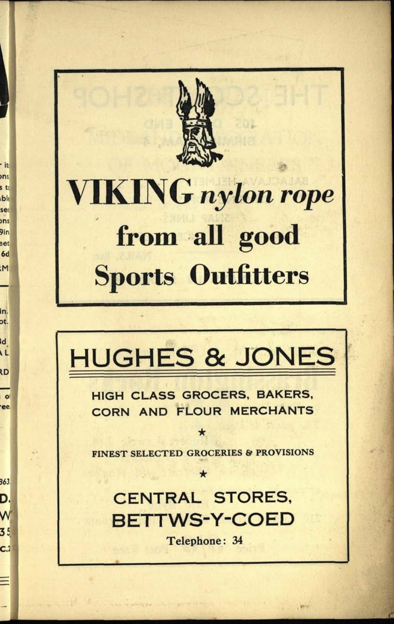

• it **ons** 

s to ble ser ons

9in  $get$  $6d$ 

M.

in. ot.  $\overline{\mathbf{d}}$ 

**L** ٢D

 $\bullet$ 'ee

363.

D. W

35

 $C.2$ 

Ξ

## **VIKING** nylon rope from all good **Sports Outfitters**

### **HUGHES & JONES**

**HIGH CLASS GROCERS, BAKERS,** CORN AND FLOUR MERCHANTS

**FINEST SELECTED GROCERIES & PROVISIONS** 

 $\star$ 

**CENTRAL STORES, BETTWS-Y-COED** 

Telephone: 34